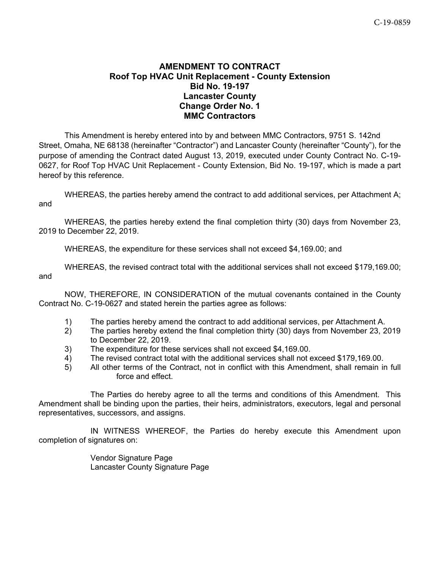## **AMENDMENT TO CONTRACT Roof Top HVAC Unit Replacement - County Extension Bid No. 19-197 Lancaster County Change Order No. 1 MMC Contractors**

This Amendment is hereby entered into by and between MMC Contractors, 9751 S. 142nd Street, Omaha, NE 68138 (hereinafter "Contractor") and Lancaster County (hereinafter "County"), for the purpose of amending the Contract dated August 13, 2019, executed under County Contract No. C-19- 0627, for Roof Top HVAC Unit Replacement - County Extension, Bid No. 19-197, which is made a part hereof by this reference.

WHEREAS, the parties hereby amend the contract to add additional services, per Attachment A; and

WHEREAS, the parties hereby extend the final completion thirty (30) days from November 23, 2019 to December 22, 2019.

WHEREAS, the expenditure for these services shall not exceed \$4,169.00; and

WHEREAS, the revised contract total with the additional services shall not exceed \$179,169.00; and

NOW, THEREFORE, IN CONSIDERATION of the mutual covenants contained in the County Contract No. C-19-0627 and stated herein the parties agree as follows:

- 1) The parties hereby amend the contract to add additional services, per Attachment A.
- 2) The parties hereby extend the final completion thirty (30) days from November 23, 2019 to December 22, 2019.
- 3) The expenditure for these services shall not exceed \$4,169.00.
- 4) The revised contract total with the additional services shall not exceed \$179,169.00.
- 5) All other terms of the Contract, not in conflict with this Amendment, shall remain in full force and effect.

The Parties do hereby agree to all the terms and conditions of this Amendment. This Amendment shall be binding upon the parties, their heirs, administrators, executors, legal and personal representatives, successors, and assigns.

IN WITNESS WHEREOF, the Parties do hereby execute this Amendment upon completion of signatures on:

> Vendor Signature Page Lancaster County Signature Page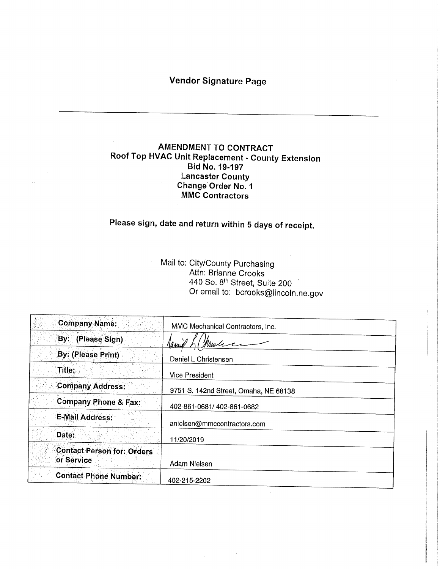## Vendor Signature Page

## AMENDMENT TO CONTRACT Roof Top HVAC Unit Replacement - County Extension Bid No. 19-197<br>Lancaster County Lancaster County Change Order No. 1 MMC Contractors

# Please sign, date and return within 5 days of receipt.

Mail to: City/County Purchasing<br>Attn: Brianne Crooks WILD BRIANNE CROOKS  $40$  So.  $8^{\circ}$  Street, Suite  $200^{\circ}$ Or email to: bcrooks@lincoln,ne.gov

| <b>Company Name:</b>                            | MMC Mechanical Contractors, Inc.      |
|-------------------------------------------------|---------------------------------------|
| By: (Please Sign)                               | lanne                                 |
| <b>By: (Please Print)</b>                       | Daniel L Christensen                  |
| Title:                                          | <b>Vice President</b>                 |
| <b>Company Address:</b>                         | 9751 S. 142nd Street, Omaha, NE 68138 |
| <b>Company Phone &amp; Fax:</b>                 | 402-861-0681/402-861-0682             |
| <b>E-Mail Address:</b>                          | anielsen@mmccontractors.com           |
| Date:                                           | 11/20/2019                            |
| <b>Contact Person for: Orders</b><br>or Service | Adam Nielsen                          |
| <b>Contact Phone Number:</b>                    | 402-215-2202                          |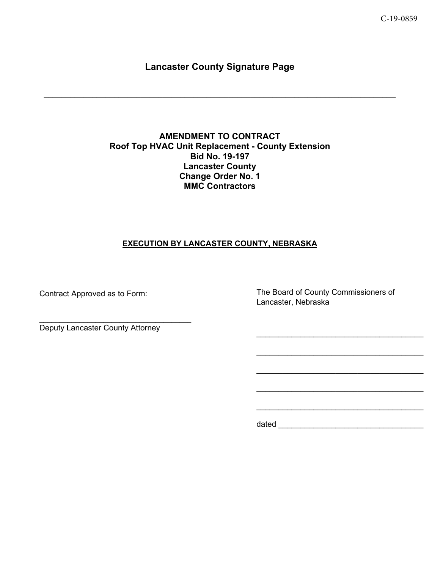## **Lancaster County Signature Page**

 $\mathcal{L}_\mathcal{L} = \mathcal{L}_\mathcal{L} = \mathcal{L}_\mathcal{L} = \mathcal{L}_\mathcal{L} = \mathcal{L}_\mathcal{L} = \mathcal{L}_\mathcal{L} = \mathcal{L}_\mathcal{L} = \mathcal{L}_\mathcal{L} = \mathcal{L}_\mathcal{L} = \mathcal{L}_\mathcal{L} = \mathcal{L}_\mathcal{L} = \mathcal{L}_\mathcal{L} = \mathcal{L}_\mathcal{L} = \mathcal{L}_\mathcal{L} = \mathcal{L}_\mathcal{L} = \mathcal{L}_\mathcal{L} = \mathcal{L}_\mathcal{L}$ 

## **AMENDMENT TO CONTRACT Roof Top HVAC Unit Replacement - County Extension Bid No. 19-197 Lancaster County Change Order No. 1 MMC Contractors**

## **EXECUTION BY LANCASTER COUNTY, NEBRASKA**

Contract Approved as to Form:

The Board of County Commissioners of Lancaster, Nebraska

 $\mathcal{L}_\text{max}$  and  $\mathcal{L}_\text{max}$  and  $\mathcal{L}_\text{max}$  and  $\mathcal{L}_\text{max}$ 

 $\mathcal{L}_\text{max}$  and  $\mathcal{L}_\text{max}$  and  $\mathcal{L}_\text{max}$  and  $\mathcal{L}_\text{max}$ 

 $\mathcal{L}_\text{max}$  and  $\mathcal{L}_\text{max}$  and  $\mathcal{L}_\text{max}$  and  $\mathcal{L}_\text{max}$ 

 $\mathcal{L}_\text{max}$  and  $\mathcal{L}_\text{max}$  and  $\mathcal{L}_\text{max}$  and  $\mathcal{L}_\text{max}$ 

Deputy Lancaster County Attorney

dated \_\_\_\_\_\_\_\_\_\_\_\_\_\_\_\_\_\_\_\_\_\_\_\_\_\_\_\_\_\_\_\_\_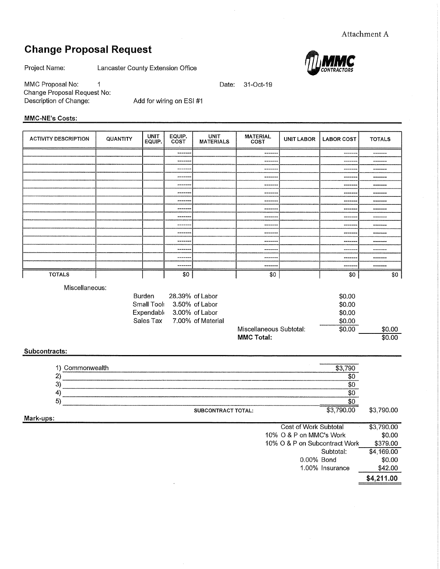## Change Proposal Request



MMC Proposal No: 1 Change Proposal Request No: Description of Change:

Add for wiring on ESI #1

### MMC-NE's Costs:

| <b>ACTIVITY DESCRIPTION</b> | QUANTITY                                | <b>UNIT</b><br>EQUIP. | EQUIP.<br>COST | <b>UNIT</b><br><b>MATERIALS</b> | <b>MATERIAL</b><br><b>UNIT LABOR</b><br>COST |  | <b>LABOR COST</b> | <b>TOTALS</b> |
|-----------------------------|-----------------------------------------|-----------------------|----------------|---------------------------------|----------------------------------------------|--|-------------------|---------------|
|                             |                                         |                       | --------       |                                 | ------                                       |  | -------           | -------       |
|                             |                                         |                       | --------       |                                 | -------                                      |  | .                 | --------      |
|                             |                                         |                       | -----          |                                 | -------                                      |  | ------            | -------       |
|                             |                                         |                       | -------        |                                 | -------                                      |  | -----             | --------      |
|                             |                                         |                       | ------         |                                 | -------                                      |  | ------            | -------       |
|                             |                                         |                       |                |                                 | ------                                       |  | -------           | --------      |
|                             |                                         |                       | --------       |                                 | -------                                      |  | ----              | --------      |
|                             |                                         |                       | --------       |                                 | ------                                       |  | ------            | --------      |
|                             |                                         |                       | -------        |                                 | ------                                       |  | ----              | --------      |
|                             |                                         |                       | -------        |                                 | -------                                      |  | -----             | --------      |
|                             |                                         |                       | -------        |                                 | ------                                       |  | -----             | --------      |
|                             |                                         |                       | -------        |                                 | -------                                      |  | -------           | -------       |
|                             |                                         |                       | -------        |                                 | -------                                      |  | ----              | -------       |
|                             |                                         |                       | -------        |                                 | ------                                       |  | ------            | --------      |
|                             |                                         |                       | --------       |                                 | -------                                      |  | ----              | --------      |
| <b>TOTALS</b>               |                                         |                       | \$0            |                                 | \$0                                          |  | \$0               | \$0           |
| Miscellaneous:              |                                         |                       |                |                                 |                                              |  |                   |               |
|                             |                                         | Burden                |                | 28.39% of Labor                 |                                              |  | \$0.00            |               |
|                             | Small Tool:<br>3.50% of Labor<br>\$0.00 |                       |                |                                 |                                              |  |                   |               |
|                             | Expendable<br>3.00% of Labor<br>\$0.00  |                       |                |                                 |                                              |  |                   |               |
|                             |                                         | Sales Tax             |                | 7.00% of Material               |                                              |  | \$0.00            |               |
|                             |                                         |                       |                |                                 | Miscellaneous Subtotal:                      |  | \$0.00            | \$0.00        |
|                             |                                         |                       |                |                                 | <b>MMC Total:</b>                            |  |                   | \$0.00        |
| Subcontracts:               |                                         |                       |                |                                 |                                              |  |                   |               |

Date: 31-0ct-19

#### Subcontracts:

| Commonwealth<br>1 Y       | 790        |            |
|---------------------------|------------|------------|
|                           |            |            |
| ົ                         |            |            |
|                           | S۱         |            |
| ∽                         |            |            |
| <b>SUBCONTRACT TOTAL:</b> | \$3,790.00 | \$3,790.00 |

Mark-ups:

| Cost of Work Subtotal         |            |
|-------------------------------|------------|
|                               | \$3,790.00 |
| 10% O & P on MMC's Work       | \$0.00     |
| 10% O & P on Subcontract Work | \$379.00   |
| Subtotal:                     | \$4,169.00 |
| 0.00% Bond                    | \$0.00     |
| 1.00% Insurance               | \$42.00    |
|                               | \$4,211.00 |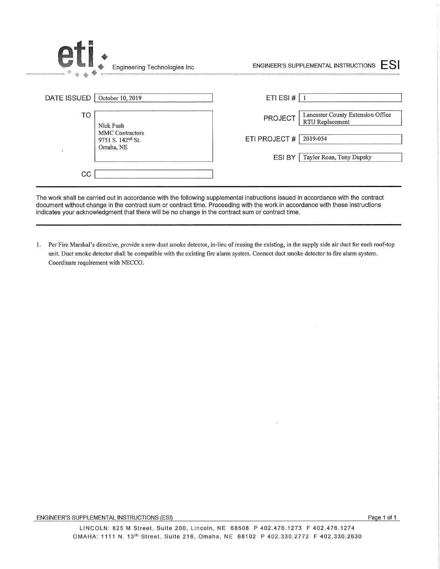| Engineering Technologies Inc<br>BERSTOWN-INSTRUMENTERNAME            | FSI<br>ENGINEER'S SUPPLEMENTAL INSTRUCTIONS                     |
|----------------------------------------------------------------------|-----------------------------------------------------------------|
| DATE ISSUED<br>October 10, 2019                                      | ETI ESI #                                                       |
| <b>TO</b><br>Nick Push                                               | Lancaster County Extension Office<br>PROJECT<br>RTU Replacement |
| <b>MMC</b> Contractors<br>9751 S. 142 <sup>nd</sup> St.<br>Omaha, NE | ETI PROJECT#<br>2019-054                                        |
|                                                                      | ESI BY<br>Taylor Roan, Tony Dupsky                              |
| CC                                                                   |                                                                 |

The work shall be carried out in accordance with the following supplemental instructions issued in accordance with the contract document without change in the contract sum or contract time. Proceeding with the work in accordance with these instructions indicates your acknowledgment that there will be no change in the contract sum or contract time.

1. Per Fire Marshal's directive, provide a new duct smoke detector, in-lieu of reusing the existing, in the supply side air duct for each roof-top unit. Duct smoke detector shall be compatible with the existing fire alarm system. Connect duct smoke detector to fire alarm system. Coordinate requirement with NECCO.

#### ENGINEER'S SUPPLEMENTAL INSTRUCTIONS (ESI) ENGINEER'S SUPPLEMENTAL INSTRUCTIONS (ESI)

J.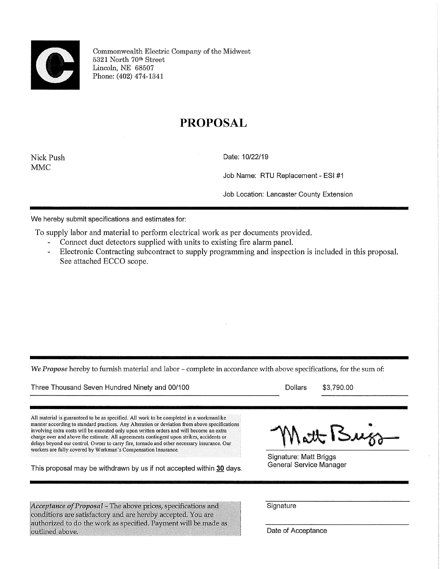

Commonwealth Electric Company of the Midwest 6321 North 7Qth Street Lincoln, NE 68507 Phone: (402) 474-1341

## PROPOSAL

MMC

Nick Push Date: 10/22/19

Job Name: RTU Replacement - ESI #1

Job Location: Lancaster County Extension

We hereby submit specifications and estimates for:

To supply labor and material to perform electrical work as per documents provided.

- Connect duct detectors supplied with units to existing fire alarm panel.
- $\overline{a}$ Electronic Contracting subcontract to supply programming and inspection is included in this proposal. See attached ECCO scope.

We Propose hereby to furnish material and labor - complete in accordance with above specifications, for the sum of:

Three Thousand Seven Hundred Ninety and 00/100 Dollars \$3,790.00

All material is guaranteed to be as specified. All work to be completed in a workmanlike manner according to standard practices. Any Alteration or deviation from above specifications involving extra costs will be executed only upon written orders and will become an extra charge over and above the estimate. All agreements contingent upon strikes, accidents or delays beyond our control. Owner to carry fire, tornado and other necessary insurance. Our workers are fully covered by Workman's Compensation Insurance.

This proposal may be withdrawn by us if not accepted within 30 days. General Service Manager

Matt Buiss

Signature: Matt Briggs

Acceptance of Proposal - The above prices, specifications and<br>conditions are satisfactory and are hereby accepted. You are authorized to do the work as specified. Payment will be made as outlined above.

**Signature** 

Date of Acceptance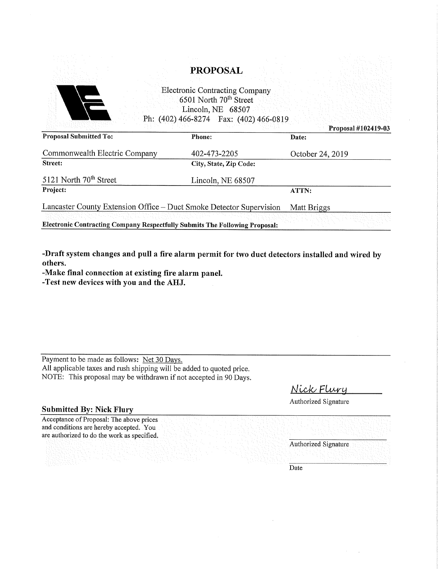|                                                                             | <b>PROPOSAL</b>                                                             |                     |  |
|-----------------------------------------------------------------------------|-----------------------------------------------------------------------------|---------------------|--|
|                                                                             |                                                                             |                     |  |
|                                                                             | <b>Electronic Contracting Company</b><br>6501 North 70 <sup>th</sup> Street |                     |  |
|                                                                             | Lincoln, NE 68507                                                           |                     |  |
|                                                                             | Ph: (402) 466-8274  Fax: (402) 466-0819                                     |                     |  |
|                                                                             |                                                                             | Proposal #102419-03 |  |
| <b>Proposal Submitted To:</b>                                               | <b>Phone:</b>                                                               | Date:               |  |
| Commonwealth Electric Company                                               | 402-473-2205                                                                | October 24, 2019    |  |
| Street:                                                                     | City, State, Zip Code:                                                      |                     |  |
| 5121 North 70 <sup>th</sup> Street                                          | Lincoln, NE 68507                                                           |                     |  |
| Project:                                                                    |                                                                             | ATTN:               |  |
| Lancaster County Extension Office - Duct Smoke Detector Supervision         |                                                                             | Matt Briggs         |  |
|                                                                             |                                                                             |                     |  |
| Electronic Contracting Company Respectfully Submits The Following Proposal: |                                                                             |                     |  |

-Draft system changes and pull a fire alarm permit for two duct detectors installed and wired by others.

-Make final connection at existing fire alarm panel.

-Test new devices with you and the AHJ.

Payment to be made as follows: Net 30 Days. All applicable taxes and rush shipping will be added to quoted price. NOTE: This proposal may be withdrawn if not accepted in 90 Days.

Nick Flury

Authorized Signature

### Submitted By: Nick Flury

Acceptance of Proposal: The above prices and conditions are hereby accepted. You are authorized to do the work as specified.

Authorized Signature

Date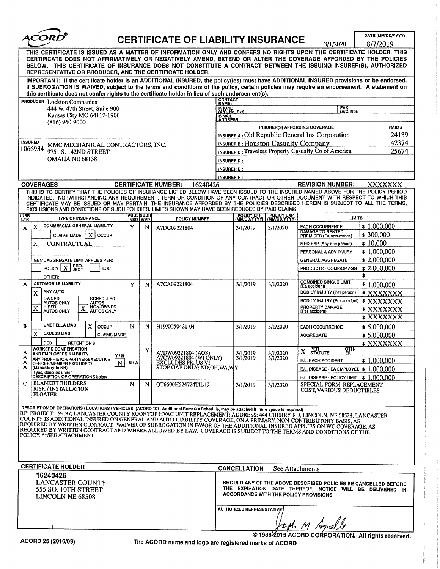

# $ACORD^{\circ}$  CERTIFICATE OF LIABILITY INSURANCE  $\frac{ORD^{\circ}}{R/17019}$

 $8/7/2010$ 

|                                                                                                                                                                                                                                                                                                                                                                                                                  |                                                                                                                                                                                                                                                                                                                                                                                                                                                                                                    |                                     |   |                                        |                                                          |                                  |                            | 31 ITZUZU                                                                                          | 01112019         |  |
|------------------------------------------------------------------------------------------------------------------------------------------------------------------------------------------------------------------------------------------------------------------------------------------------------------------------------------------------------------------------------------------------------------------|----------------------------------------------------------------------------------------------------------------------------------------------------------------------------------------------------------------------------------------------------------------------------------------------------------------------------------------------------------------------------------------------------------------------------------------------------------------------------------------------------|-------------------------------------|---|----------------------------------------|----------------------------------------------------------|----------------------------------|----------------------------|----------------------------------------------------------------------------------------------------|------------------|--|
| THIS CERTIFICATE IS ISSUED AS A MATTER OF INFORMATION ONLY AND CONFERS NO RIGHTS UPON THE CERTIFICATE HOLDER. THIS<br>CERTIFICATE DOES NOT AFFIRMATIVELY OR NEGATIVELY AMEND, EXTEND OR ALTER THE COVERAGE AFFORDED BY THE POLICIES<br>BELOW. THIS CERTIFICATE OF INSURANCE DOES NOT CONSTITUTE A CONTRACT BETWEEN THE ISSUING INSURER(S), AUTHORIZED<br>REPRESENTATIVE OR PRODUCER, AND THE CERTIFICATE HOLDER. |                                                                                                                                                                                                                                                                                                                                                                                                                                                                                                    |                                     |   |                                        |                                                          |                                  |                            |                                                                                                    |                  |  |
| IMPORTANT: If the certificate holder is an ADDITIONAL INSURED, the policy(ies) must have ADDITIONAL INSURED provisions or be endorsed.<br>If SUBROGATION IS WAIVED, subject to the terms and conditions of the policy, certain policies may require an endorsement. A statement on<br>this certificate does not confer rights to the certificate holder in lieu of such endorsement(s).                          |                                                                                                                                                                                                                                                                                                                                                                                                                                                                                                    |                                     |   |                                        |                                                          |                                  |                            |                                                                                                    |                  |  |
| <b>CONTACT</b><br>PRODUCER Lockton Companies<br><b>NAME:</b>                                                                                                                                                                                                                                                                                                                                                     |                                                                                                                                                                                                                                                                                                                                                                                                                                                                                                    |                                     |   |                                        |                                                          |                                  |                            |                                                                                                    |                  |  |
|                                                                                                                                                                                                                                                                                                                                                                                                                  | 444 W. 47th Street, Suite 900                                                                                                                                                                                                                                                                                                                                                                                                                                                                      |                                     |   |                                        | PHONE<br>(A/C. No. Ext):                                 |                                  |                            | FAX<br>(A/C. No);                                                                                  |                  |  |
|                                                                                                                                                                                                                                                                                                                                                                                                                  | Kansas City MO 64112-1906                                                                                                                                                                                                                                                                                                                                                                                                                                                                          |                                     |   |                                        | <b>E-MAIL</b><br><b>ADDRESS:</b>                         |                                  |                            |                                                                                                    |                  |  |
|                                                                                                                                                                                                                                                                                                                                                                                                                  | $(816)$ 960-9000                                                                                                                                                                                                                                                                                                                                                                                                                                                                                   |                                     |   |                                        |                                                          |                                  |                            | INSURER(S) AFFORDING COVERAGE                                                                      | <b>NAIC#</b>     |  |
|                                                                                                                                                                                                                                                                                                                                                                                                                  |                                                                                                                                                                                                                                                                                                                                                                                                                                                                                                    |                                     |   |                                        | INSURER A: Old Republic General Ins Corporation<br>24139 |                                  |                            |                                                                                                    |                  |  |
| <b>INSURED</b>                                                                                                                                                                                                                                                                                                                                                                                                   | MMC MECHANICAL CONTRACTORS, INC.                                                                                                                                                                                                                                                                                                                                                                                                                                                                   |                                     |   |                                        | 42374<br>INSURER B: Houston Casualty Company             |                                  |                            |                                                                                                    |                  |  |
| 1066934                                                                                                                                                                                                                                                                                                                                                                                                          | 9751 S. 142ND STREET                                                                                                                                                                                                                                                                                                                                                                                                                                                                               |                                     |   |                                        |                                                          |                                  |                            | INSURER c: Travelers Property Casualty Co of America                                               | 25674            |  |
|                                                                                                                                                                                                                                                                                                                                                                                                                  | OMAHA NE 68138                                                                                                                                                                                                                                                                                                                                                                                                                                                                                     |                                     |   |                                        | <b>INSURER D:</b>                                        |                                  |                            |                                                                                                    |                  |  |
|                                                                                                                                                                                                                                                                                                                                                                                                                  |                                                                                                                                                                                                                                                                                                                                                                                                                                                                                                    |                                     |   |                                        | <b>INSURERE:</b>                                         |                                  |                            |                                                                                                    |                  |  |
|                                                                                                                                                                                                                                                                                                                                                                                                                  |                                                                                                                                                                                                                                                                                                                                                                                                                                                                                                    |                                     |   |                                        | <b>INSURER F:</b>                                        |                                  |                            |                                                                                                    |                  |  |
|                                                                                                                                                                                                                                                                                                                                                                                                                  | <b>COVERAGES</b>                                                                                                                                                                                                                                                                                                                                                                                                                                                                                   |                                     |   | <b>CERTIFICATE NUMBER:</b><br>16240426 |                                                          |                                  |                            | <b>REVISION NUMBER:</b>                                                                            | xxxxxxx          |  |
|                                                                                                                                                                                                                                                                                                                                                                                                                  | THIS IS TO CERTIFY THAT THE POLICIES OF INSURANCE LISTED BELOW HAVE BEEN ISSUED TO THE INSURED NAMED ABOVE FOR THE POLICY PERIOD<br>INDICATED. NOTWITHSTANDING ANY REQUIREMENT, TERM OR CONDITION OF ANY CONTRACT OR OTHER DOCUMENT WITH RESPECT TO WHICH THIS<br>CERTIFICATE MAY BE ISSUED OR MAY PERTAIN, THE INSURANCE AFFORDED BY THE POLICIES DESCRIBED HEREIN IS SUBJECT TO ALL THE TERMS,<br>EXCLUSIONS AND CONDITIONS OF SUCH POLICIES, LIMITS SHOWN MAY HAVE BEEN REDUCED BY PAID CLAIMS. |                                     |   |                                        |                                                          |                                  |                            |                                                                                                    |                  |  |
| <b>INSR</b><br>LTR                                                                                                                                                                                                                                                                                                                                                                                               | <b>TYPE OF INSURANCE</b>                                                                                                                                                                                                                                                                                                                                                                                                                                                                           | <b>ADDL SUBR</b><br><b>INSD WVD</b> |   | <b>POLICY NUMBER</b>                   |                                                          | POLICY EFF<br>(MM/DD/YYYY)       | POLICY EXP<br>(MM/DD/YYYY) | <b>LIMITS</b>                                                                                      |                  |  |
| x<br>A                                                                                                                                                                                                                                                                                                                                                                                                           | <b>COMMERCIAL GENERAL LIABILITY</b>                                                                                                                                                                                                                                                                                                                                                                                                                                                                | Υ                                   | N | A7DG09221804                           |                                                          | 3/1/2019                         | 3/1/2020                   | <b>EACH OCCURRENCE</b>                                                                             | \$1,000,000      |  |
|                                                                                                                                                                                                                                                                                                                                                                                                                  | $\mathbf{x}$<br>CLAIMS-MADE<br><b>OCCUR</b>                                                                                                                                                                                                                                                                                                                                                                                                                                                        |                                     |   |                                        |                                                          |                                  |                            | DAMAGE TO RENTED<br>PREMISES (Ea occurrence)<br>\$300,000                                          |                  |  |
| x                                                                                                                                                                                                                                                                                                                                                                                                                | <b>CONTRACTUAL</b>                                                                                                                                                                                                                                                                                                                                                                                                                                                                                 |                                     |   |                                        |                                                          |                                  |                            | \$10,000<br>MED EXP (Any one person)                                                               |                  |  |
|                                                                                                                                                                                                                                                                                                                                                                                                                  |                                                                                                                                                                                                                                                                                                                                                                                                                                                                                                    |                                     |   |                                        |                                                          |                                  |                            | PERSONAL & ADV INJURY                                                                              | \$1,000,000      |  |
|                                                                                                                                                                                                                                                                                                                                                                                                                  | GEN'L AGGREGATE LIMIT APPLIES PER:                                                                                                                                                                                                                                                                                                                                                                                                                                                                 |                                     |   |                                        |                                                          |                                  |                            | <b>GENERAL AGGREGATE</b>                                                                           | \$2,000,000      |  |
|                                                                                                                                                                                                                                                                                                                                                                                                                  | <b>PRO-</b><br>JECT<br>POLICY $ X $<br>LOC                                                                                                                                                                                                                                                                                                                                                                                                                                                         |                                     |   |                                        |                                                          |                                  |                            | PRODUCTS - COMP/OP AGG                                                                             | \$2,000,000      |  |
|                                                                                                                                                                                                                                                                                                                                                                                                                  | OTHER:                                                                                                                                                                                                                                                                                                                                                                                                                                                                                             |                                     |   |                                        |                                                          |                                  |                            | \$                                                                                                 |                  |  |
| A                                                                                                                                                                                                                                                                                                                                                                                                                | <b>AUTOMOBILE LIABILITY</b>                                                                                                                                                                                                                                                                                                                                                                                                                                                                        | Y                                   | N | A7CA09221804                           |                                                          | 3/1/2019                         | 3/1/2020                   | COMBINED SINGLE LIMIT<br>(Ea accident)                                                             | \$1,000,000      |  |
| X                                                                                                                                                                                                                                                                                                                                                                                                                | <b>ANY AUTO</b>                                                                                                                                                                                                                                                                                                                                                                                                                                                                                    |                                     |   |                                        |                                                          |                                  |                            | BODILY INJURY (Per person)                                                                         | <b>* XXXXXXX</b> |  |
|                                                                                                                                                                                                                                                                                                                                                                                                                  | OWNED<br>SCHEDULED<br><b>AUTOS ONLY</b>                                                                                                                                                                                                                                                                                                                                                                                                                                                            |                                     |   |                                        |                                                          |                                  |                            | BODILY INJURY (Per accident)                                                                       | \$XXXXXXX        |  |
| X                                                                                                                                                                                                                                                                                                                                                                                                                | AUTOS<br>NON-OWNED<br>AUTOS ONLY<br><b>HIRED</b><br>X<br><b>AUTOS ONLY</b>                                                                                                                                                                                                                                                                                                                                                                                                                         |                                     |   |                                        |                                                          |                                  |                            | <b>PROPERTY DAMAGE</b><br>(Per accident)                                                           | \$XXXXXXX        |  |
|                                                                                                                                                                                                                                                                                                                                                                                                                  |                                                                                                                                                                                                                                                                                                                                                                                                                                                                                                    |                                     |   |                                        |                                                          |                                  |                            |                                                                                                    | <b>\$XXXXXXX</b> |  |
| в                                                                                                                                                                                                                                                                                                                                                                                                                | <b>UMBRELLA LIAB</b><br>X<br><b>OCCUR</b>                                                                                                                                                                                                                                                                                                                                                                                                                                                          | N                                   | N | H19XC50421-04                          |                                                          | 3/1/2019                         | 3/1/2020                   | <b>EACH OCCURRENCE</b>                                                                             | \$5,000,000      |  |
| X                                                                                                                                                                                                                                                                                                                                                                                                                | <b>EXCESS LIAB</b><br><b>CLAIMS-MADE</b>                                                                                                                                                                                                                                                                                                                                                                                                                                                           |                                     |   |                                        |                                                          |                                  |                            | <b>AGGREGATE</b>                                                                                   | \$5,000,000      |  |
|                                                                                                                                                                                                                                                                                                                                                                                                                  | <b>DED</b><br><b>RETENTIONS</b>                                                                                                                                                                                                                                                                                                                                                                                                                                                                    |                                     |   |                                        |                                                          |                                  |                            |                                                                                                    | \$XXXXXXX        |  |
| A                                                                                                                                                                                                                                                                                                                                                                                                                | <b>WORKERS COMPENSATION</b><br>AND EMPLOYERS' LIABILITY<br>Y/N                                                                                                                                                                                                                                                                                                                                                                                                                                     |                                     | Y | A7DW09221804 (AOS)                     |                                                          | 3/1/2019                         | 3/1/2020                   | OTH-<br>PER<br>STATUTE<br>X<br>ĒŔ                                                                  |                  |  |
| A<br>A                                                                                                                                                                                                                                                                                                                                                                                                           | A7CW09221804 (WI ONLY)<br>EXCLUDES PR, US VI<br>ANY PROPRIETOR/PARTNER/EXECUTIVE<br>$\mathbf N$<br>N/A<br>OFFICER/MEMBER EXCLUDED?                                                                                                                                                                                                                                                                                                                                                                 |                                     |   | 3/1/2019                               | 3/1/2020                                                 | E.L. EACH ACCIDENT               | \$1,000,000                |                                                                                                    |                  |  |
|                                                                                                                                                                                                                                                                                                                                                                                                                  | (Mandatory in NH)<br>If ves. describe under                                                                                                                                                                                                                                                                                                                                                                                                                                                        |                                     |   | STOP GAP ONLY: ND, OH, WA, WY          |                                                          |                                  |                            | E.L. DISEASE - EA EMPLOYEE $\vert \cdot \vert$ ,000,000                                            |                  |  |
|                                                                                                                                                                                                                                                                                                                                                                                                                  | <b>DESCRIPTION OF OPERATIONS below</b>                                                                                                                                                                                                                                                                                                                                                                                                                                                             |                                     |   |                                        |                                                          |                                  |                            | E.L. DISEASE - POLICY LIMIT $\vert \$ 1,000,000$                                                   |                  |  |
| C                                                                                                                                                                                                                                                                                                                                                                                                                | <b>BLANKET BUILDERS</b><br><b>RISK / INSTALLATION</b><br><b>FLOATER</b>                                                                                                                                                                                                                                                                                                                                                                                                                            | N                                   | N | QT6600H524724TIL19                     |                                                          | 3/1/2019                         | 3/1/2020                   | SPECIAL FORM, REPLACEMENT<br>COST, VARIOUS DEDUCTIBLES                                             |                  |  |
|                                                                                                                                                                                                                                                                                                                                                                                                                  | DESCRIPTION OF OPERATIONS / LOCATIONS / VEHICLES (ACORD 101, Additional Remarks Schedule, may be attached if more space is required)                                                                                                                                                                                                                                                                                                                                                               |                                     |   |                                        |                                                          |                                  |                            |                                                                                                    |                  |  |
|                                                                                                                                                                                                                                                                                                                                                                                                                  | RE: PROJECT: 19-197; LANCASTER COUNTY ROOF TOP HVAC UNIT REPLACEMENT; ADDRESS: 444 CHERRY RD, LINCOLN, NE 68528; LANCASTER                                                                                                                                                                                                                                                                                                                                                                         |                                     |   |                                        |                                                          |                                  |                            |                                                                                                    |                  |  |
|                                                                                                                                                                                                                                                                                                                                                                                                                  | COUNTY IS ADDITIONAL INSURED ON GENERAL AND AUTO LIABILITY COVERAGE, ON A PRIMARY, NON-CONTRIBUTORY BASIS, AS<br>REQUIRED BY WRITTEN CONTRACT. WAIVER OF SUBROGATION IN FAVOR OF THE ADDITIONAL INSURED APPLIES ON WC COVERAGE, AS                                                                                                                                                                                                                                                                 |                                     |   |                                        |                                                          |                                  |                            |                                                                                                    |                  |  |
|                                                                                                                                                                                                                                                                                                                                                                                                                  | REQUIRED BY WRITTEN CONTRACT AND WHERE ALLOWED BY LAW.  COVERAGE IS SUBJECT TO THE TERMS AND CONDITIONS OF THE                                                                                                                                                                                                                                                                                                                                                                                     |                                     |   |                                        |                                                          |                                  |                            |                                                                                                    |                  |  |
|                                                                                                                                                                                                                                                                                                                                                                                                                  | POLICY. **SEE ATTACHMENT                                                                                                                                                                                                                                                                                                                                                                                                                                                                           |                                     |   |                                        |                                                          |                                  |                            |                                                                                                    |                  |  |
|                                                                                                                                                                                                                                                                                                                                                                                                                  |                                                                                                                                                                                                                                                                                                                                                                                                                                                                                                    |                                     |   |                                        |                                                          |                                  |                            |                                                                                                    |                  |  |
|                                                                                                                                                                                                                                                                                                                                                                                                                  |                                                                                                                                                                                                                                                                                                                                                                                                                                                                                                    |                                     |   |                                        |                                                          |                                  |                            |                                                                                                    |                  |  |
|                                                                                                                                                                                                                                                                                                                                                                                                                  | <b>CERTIFICATE HOLDER</b>                                                                                                                                                                                                                                                                                                                                                                                                                                                                          |                                     |   |                                        |                                                          | <b>CANCELLATION</b>              | See Attachments            |                                                                                                    |                  |  |
|                                                                                                                                                                                                                                                                                                                                                                                                                  | 16240426                                                                                                                                                                                                                                                                                                                                                                                                                                                                                           |                                     |   |                                        |                                                          |                                  |                            |                                                                                                    |                  |  |
|                                                                                                                                                                                                                                                                                                                                                                                                                  | LANCASTER COUNTY                                                                                                                                                                                                                                                                                                                                                                                                                                                                                   |                                     |   |                                        |                                                          |                                  |                            | SHOULD ANY OF THE ABOVE DESCRIBED POLICIES BE CANCELLED BEFORE                                     |                  |  |
|                                                                                                                                                                                                                                                                                                                                                                                                                  | 555 SO. 10TH STREET                                                                                                                                                                                                                                                                                                                                                                                                                                                                                |                                     |   |                                        |                                                          |                                  |                            | THE EXPIRATION DATE THEREOF, NOTICE WILL BE DELIVERED IN<br>ACCORDANCE WITH THE POLICY PROVISIONS. |                  |  |
|                                                                                                                                                                                                                                                                                                                                                                                                                  | LINCOLN NE 68508                                                                                                                                                                                                                                                                                                                                                                                                                                                                                   |                                     |   |                                        |                                                          |                                  |                            |                                                                                                    |                  |  |
|                                                                                                                                                                                                                                                                                                                                                                                                                  |                                                                                                                                                                                                                                                                                                                                                                                                                                                                                                    |                                     |   |                                        |                                                          | <b>AUTHORIZED REPRESENTATIVE</b> |                            |                                                                                                    |                  |  |
|                                                                                                                                                                                                                                                                                                                                                                                                                  |                                                                                                                                                                                                                                                                                                                                                                                                                                                                                                    |                                     |   |                                        |                                                          |                                  |                            |                                                                                                    |                  |  |
|                                                                                                                                                                                                                                                                                                                                                                                                                  |                                                                                                                                                                                                                                                                                                                                                                                                                                                                                                    |                                     |   |                                        |                                                          |                                  |                            |                                                                                                    |                  |  |
|                                                                                                                                                                                                                                                                                                                                                                                                                  |                                                                                                                                                                                                                                                                                                                                                                                                                                                                                                    |                                     |   |                                        |                                                          |                                  |                            | © 1988 <sup>(2015</sup> ACORD CORPORATION. All rights reserved.                                    |                  |  |
|                                                                                                                                                                                                                                                                                                                                                                                                                  | ACORD 25 (2016/02)                                                                                                                                                                                                                                                                                                                                                                                                                                                                                 |                                     |   |                                        |                                                          |                                  |                            |                                                                                                    |                  |  |

The ACORD name and logo are registered marks of ACORD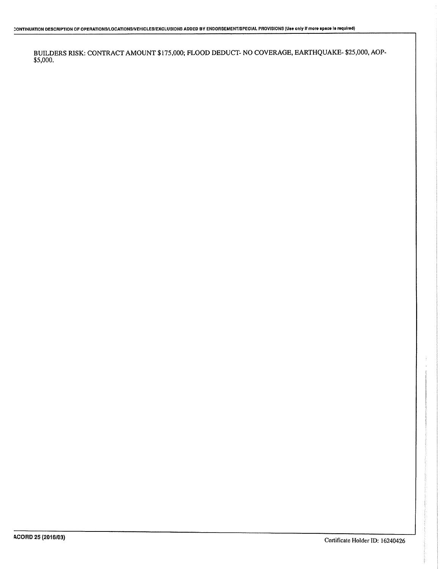BUILDERS RISK; CONTRACT AMOUNT \$175,000; FLOOD DEDUCT- NO COVERAGE, EARTHQUAKE- \$25,000, AOP-  $$5,000.$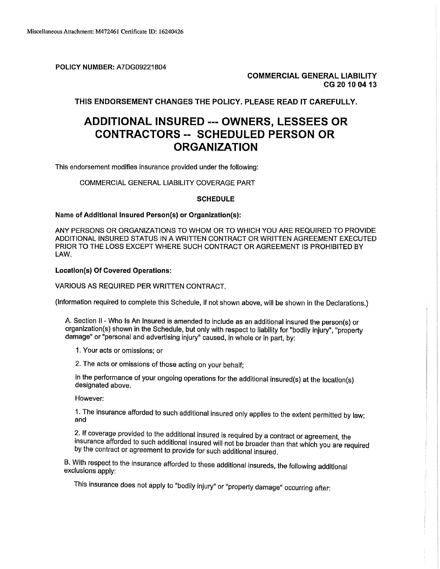POLICY NUMBER: A7DG09221804

COMMERCIAL GENERAL LIABILITY CG 20 1004 13

THIS ENDORSEMENT CHANGES THE POLICY. PLEASE READ IT CAREFULLY.

## ADDITIONAL INSURED --- OWNERS, LESSEES OR CONTRACTORS -- SCHEDULED PERSON OR ORGANIZATION

This endorsement modifies insurance provided under the following:

COMMERCIAL GENERAL LIABILITY COVERAGE PART

#### **SCHEDULE**

#### Name of Additional Insured Person(s) or Organization(s):

ANY PERSONS OR ORGANIZATIONS TO WHOM OR TO WHICH YOU ARE REQUIRED TO PROVIDE ADDITIONAL INSURED STATUS IN A WRITTEN CONTRACT OR WRITTEN AGREEMENT EXECUTED PRIOR TO THE LOSS EXCEPT WHERE SUCH CONTRACT OR AGREEMENT IS PROHIBITED BY LAW.

#### Locatlon(s) Of Covered Operations:

VARIOUS AS REQUIRED PER WRITTEN CONTRACT.

(Information required to complete this Schedule, if not shown above, will be shown in the Declarations.)

A. Section II - Who Is An Insured is amended to include as an additional insured the person(s) or organization(s) shown in the Schedule, but only with respect to liability for "bodily injury", "property damage" or "personal and advertising Injury" caused, In whole or in part, by:

- 1. Your acts or omissions; or
- 2. The acts or omissions of those acting on your behalf;

in the performance of your ongoing operations for the additional insured(s) at the locatlon(s) designated above.

However:

However:<br>1. The insurance afforded to such additional insured only applies to the extent permitted by law;<br>and  $1.$  The insurance afforded to such additional insured only applies to the extent permitted by law:

2. If coverage provided to the additional insured is required by a contract or agreement, the Linductured From the Land Entertainment will not be broader than that which you are required by the contract or agreement to provide for such additional insured.

B. With respect to the insurance afforded to these additional insureds, the following additional exclusions apply:

This insurance does not apply to "bodily injury" or "property damage" occurring after: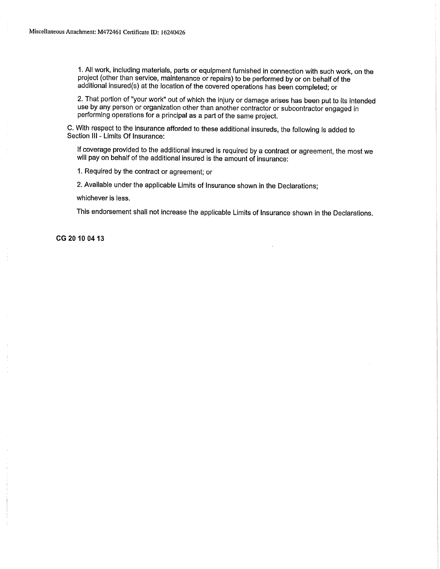1. All work, including materials, parts or equipment furnished in connection with such work, on the project (other than service, maintenance or repairs) to be performed by or on behalf of the additional insured(s) at the location of the covered operations has been completed; or

2. That portion of "your work" out of which the injury or damage arises has been put to its intended use by any person or organization other than another contractor or subcontractor engaged in performing operations for a principal as a part of the same project.

C. With respect to the insurance afforded to these additional insureds, the following is added to Section III - Limits Of Insurance:

If coverage provided to the additional insured is required by a contract or agreement, the most we will pay on behalf of the additional insured is the amount of insurance:

1. Required by the contract or agreement; or

2. Available under the applicable Limits of Insurance shown in the Declarations;

whichever is less.

This endorsement shall not increase the applicable Limits of Insurance shown in the Declarations.

CG20100413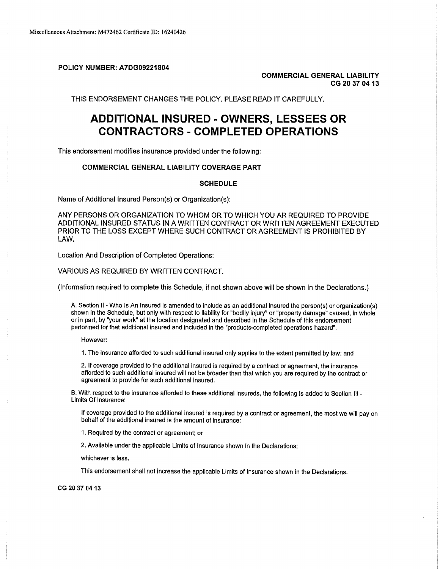POLICY NUMBER: A7DG09221804

COMMERCIAL GENERAL LIABILITY CG 2037 04 13

THIS ENDORSEMENT CHANGES THE POLICY. PLEASE READ IT CAREFULLY.

## ADDITIONAL INSURED - OWNERS, LESSEES OR CONTRACTORS - COMPLETED OPERATIONS

This endorsement modifies insurance provided under the following:

#### COMMERCIAL GENERAL LIABILITY COVERAGE PART

#### **SCHEDULE**

Name of Additional Insured Person(s) or Organization(s):

ANY PERSONS OR ORGANIZATION TO WHOM OR TO WHICH YOU AR REQUIRED TO PROVIDE ADDITIONAL INSURED STATUS IN A WRITTEN CONTRACT OR WRITTEN AGREEMENT EXECUTED PRIOR TO THE LOSS EXCEPT WHERE SUCH CONTRACT OR AGREEMENT IS PROHIBITED BY LAW.

Location And Description of Completed Operations:

VARIOUS AS REQUIRED BY WRITTEN CONTRACT.

(Information required to complete this Schedule, if not shown above will be shown in the Declarations.)

A. Section II - Who Is An Insured is amended to include as an additional insured the person(s) or organization(s) shown in the Schedule, but only with respect to liability for "bodily injury" or "property damage" caused, in whole or in part, by "your work" at the location designated and described in the Schedule of this endorsement performed for that additional insured and included in the "products-completed operations hazard".

However:

1. The insurance afforded to such additional insured only applies to the extent permitted by law; and

2. If coverage provided to the additional insured is required by a contract or agreement, the insurance afforded to such additional insured will not be broader than that which you are required by the contract or agreement to provide for such additional insured.

B. With respect to the insurance afforded to these additional insureds, the following is added to Section III - Limits Of Insurance:

If coverage provided to the additional insured is required by a contract or agreement, the most we will pay on behalf of the additional insured is the amount of insurance:

1. Required by the contract or agreement; or

2. Available under the applicable Limits of Insurance shown In the Declarations;

whichever is less,

This endorsement shall not increase the applicable Limits of Insurance shown in the Declarations.

CG 20 37 04 13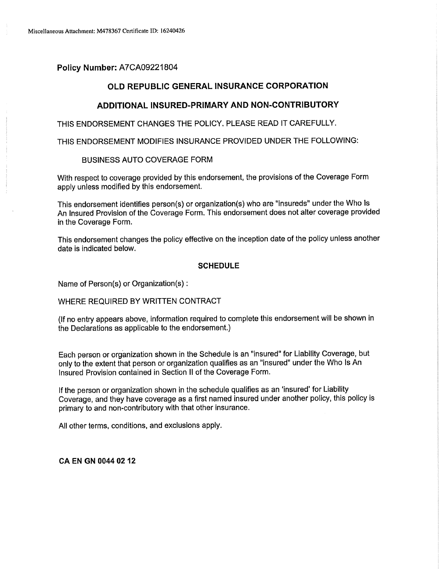## Policy Number: A7CA09221804

### OLD REPUBLIC GENERAL INSURANCE CORPORATION

## ADDITIONAL INSURED-PRIMARYAND NON-CONTRIBUTORY

THIS ENDORSEMENT CHANGES THE POLICY. PLEASE READ IT CAREFULLY.

THIS ENDORSEMENT MODIFIES INSURANCE PROVIDED UNDER THE FOLLOWING:

#### BUSINESS AUTO COVERAGE FORM

With respect to coverage provided by this endorsement, the provisions of the Coverage Form apply unless modified by this endorsement.

This endorsement identifies person(s) or organization(s) who are "insureds" under the Who Is An Insured Provision of the Coverage Form. This endorsement does not alter coverage provided in the Coverage Form,

This endorsement changes the policy effective on the inception date of the policy unless another date is indicated below.

#### **SCHEDULE**

Name of Person(s) or Organization(s) :

WHERE REQUIRED BY WRITTEN CONTRACT

(If no entry appears above, information required to complete this endorsement will be shown in the Declarations as applicable to the endorsement.)

Each person or organization shown in the Schedule is an "insured" for Liability Coverage, but only to the extent that person or organization qualifies as an "insured" under the Who Is An Insured Provision contained in Section II of the Coverage Form.

If the person or organization shown in the schedule qualifies as an 'insured' for Liability Coverage, and they have coverage as a first named insured under another policy, this policy is primary to and non-contributory with that other insurance.

All other terms, conditions, and exclusions apply.

CAENGN00440212